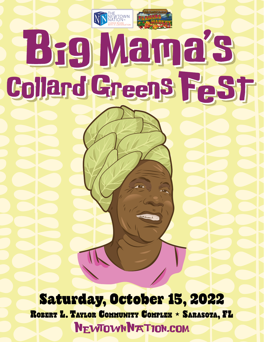THE<br>VEWTOWN<br>VATION ®E **Beg Mama's Collard Greens FeSt** 

Saturday, October 15, 2022 ROBERT L. TAYLOR COMMUNITY COMPLEX • SARASOTA, FL NEWTOWNNATION.COM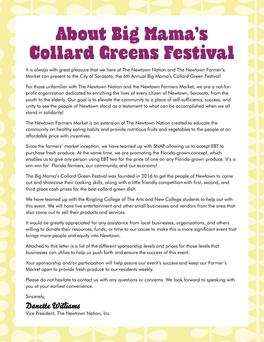# About Big Mama's Collard Greens Festival

It is always with great pleasure that we here at The Newtown Nation and The Newtown Farmer's Market can present to the City of Sarasota, the 6th Annual Big Mama's Collard Green Festival!

For those unfamiliar with The Newtown Nation and the Newtown Farmers Market, we are a not-forprofit organization dedicated to enriching the lives of every citizen of Newtown, Sarasota, from the youth to the elderly. Our goal is to elevate the community to a place of self-sufficiency, success, and unity to see the people of Newtown stand as a testament to what can be accomplished when we all stand in solidarity!

The Newtown Farmers Market is an extension of The Newtown Nation created to educate the community on healthy eating habits and provide nutritious fruits and vegetables to the people at an affordable price with incentives.

Since the farmers' market inception, we have teamed up with SNAP allowing us to accept EBT to purchase fresh produce. At the same time, we are promoting the Florida-grown concept, which enables us to give any person using EBT two for the price of one on any Florida-grown produce. It's a win-win for Florida farmers, our community, and our economy!

The Big Mama's Collard Green Festival was founded in 2016 to get the people of Newtown to come out and showcase their cooking skills, along with a little friendly competition with first, second, and third place cash prizes for the best collard green dish.

We have teamed up with the Ringling College of The Arts and New College students to help out with this event. We will have live entertainment and other small businesses and vendors from the area that also come out to sell their products and services.

It would be greatly appreciated for any assistance from local businesses, organizations, and others willing to donate their resources, funds, or time to our cause to make this a more significant event that brings more people and equity into Newtown.

Attached to this letter is a list of the different sponsorship levels and prices for those levels that businesses can utilize to help us push forth and ensure the success of this event.

Your sponsorship and/or participation will help assure our event's success and keep our Farmer's Market open to provide fresh produce to our residents weekly.

Please do not hesitate to contact us with any questions or concerns. We look forward to speaking with you at your earliest convenience.

Sincerely,

## Danette Williams

Vice President, The Newtown Nation, Inc.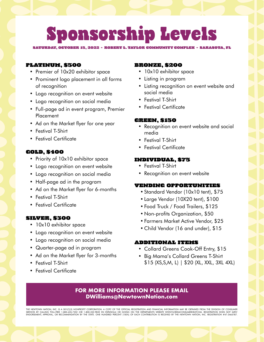# Sponsorship Levels

SATURDAY, OCTOBER 15, 2022 • ROBERT L. TAYLOR COMMUNITY COMPLEX • SARASOTA, FL

### PLATINUM, \$500

- Premier of 10x20 exhibitor space
- Prominent logo placement in all forms of recognition
- Logo recognition on event website
- Logo recognition on social media
- Full-page ad in event program, Premier Placement
- Ad on the Market flyer for one year
- Festival T-Shirt
- Festival Certificate

### GOLD, \$400

- Priority of 10x10 exhibitor space
- Logo recognition on event website
- Logo recognition on social media
- Half-page ad in the program
- Ad on the Market flyer for 6-months
- Festival T-Shirt
- Festival Certificate

#### SILVER, \$300

- 10x10 exhibitor space
- Logo recognition on event website
- Logo recognition on social media
- Quarter-page ad in program
- Ad on the Market flyer for 3-months
- Festival T-Shirt
- Festival Certificate

### BRONZE, \$200

- 10x10 exhibitor space
- Listing in program
- Listing recognition on event website and social media
- Festival T-Shirt
- Festival Certificate

### GREEN, \$150

- Recognition on event website and social media
- Festival T-Shirt
- Festival Certificate

### INDIVIDUAL, \$75

- Festival T-Shirt
- Recognition on event website

### VENDING OPPORTUNITIES

- Standard Vendor (10x10 tent), \$75
- Large Vendor (10X20 tent), \$100
- Food Truck / Food Trailers, \$125
- Non-profits Organization, \$50
- Farmers Market Active Vendor, \$25
- Child Vendor (16 and under), \$15

#### ADDITIONAL ITEMS

- Collard Greens Cook-Off Entry, \$15
- Big Mama's Collard Greens T-Shirt \$15 (XS,S,M, L) | \$20 (XL, XXL, 3XL 4XL)

### **FOR MORE INFORMATION PLEASE EMAIL DWilliams@NewtownNation.com**

THE NEWTOWN NATION, INC. IS A 501(C)(3) NONPROFIT CORPORATION. A COPY OF THE OFFICIAL REGISTRATION AND FINANCIAL INFORMATION MAY BE OBTAINED FROM THE DIVISION OF CONSUMER<br>SERVICES BY CALLING TOLL-FREE 1-800-435-7352 (OR 1-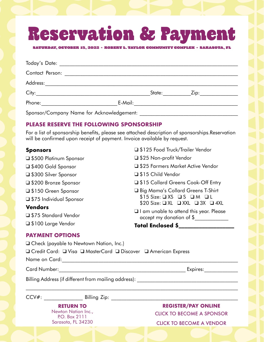# Reservation & Payment

SATURDAY, OCTOBER 15, 2022 • ROBERT L. TAYLOR COMMUNITY COMPLEX • SARASOTA, FL

| Contact Person:                           |         |                      |                   |  |
|-------------------------------------------|---------|----------------------|-------------------|--|
|                                           |         |                      |                   |  |
| City:                                     |         | State: <b>State:</b> | Zip: ____________ |  |
| Phone:                                    | E-Mail: |                      |                   |  |
| Sponsor/Company Name for Acknowledgement: |         |                      |                   |  |

### **PLEASE RESERVE THE FOLLOWING SPONSORSHIP**

For a list of sponsorship benefits, please see attached description of sponsorships.Reservation will be confirmed upon receipt of payment. Invoice available by request.

### **Sponsors**

❑ \$500 Platinum Sponsor ❑ \$400 Gold Sponsor ❑ \$300 Silver Sponsor ❑ \$200 Bronze Sponsor ❑ \$150 Green Sponsor ❑ \$75 Individual Sponsor **Vendors** ❑ \$75 Standard Vendor

❑ \$25 Farmers Market Active Vendor ❑ \$15 Child Vendor ❑ \$15 Collard Greens Cook-Off Entry ❑ Big Mama's Collard Greens T-Shirt  $$15 \text{ Size}:$   $\Box$  XS  $\Box$  S  $\Box$  M  $\Box$  L \$20 Size: ❑ XL ❑ XXL ❑ 3X ❑ 4XL ❑ I am unable to attend this year. Please

**Total Enclosed \$\_\_\_\_\_\_\_\_\_\_\_\_\_\_\_\_\_\_\_**

accept my donation of \$

❑ \$125 Food Truck/Trailer Vendor

❑ \$25 Non-profit Vendor

### **PAYMENT OPTIONS**

❑ \$100 Large Vendor

| $\Box$ Check (payable to Newtown Nation, Inc.)       |                                                                  |
|------------------------------------------------------|------------------------------------------------------------------|
|                                                      | □ Credit Card: □ Visa □ MasterCard □ Discover □ American Express |
| Name on Card:                                        |                                                                  |
| <b>Card Number:</b>                                  | Expires:                                                         |
| Billing Address (if different from mailing address): |                                                                  |
| $CCV#$ :<br><b>Example 1</b> Billing Zip:            |                                                                  |
| <b>RETURN TO</b>                                     | <b>REGISTER/PAY ONLINE</b>                                       |
|                                                      |                                                                  |
| Newton Nation Inc.,<br>P.O. Box 2111                 | <b>CLICK TO BECOME A SPONSOR</b>                                 |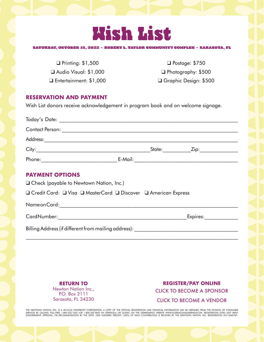

#### SATURDAY, OCTOBER 15, 2022 • ROBERT L. TAYLOR COMMUNITY COMPLEX • SARASOTA, FL

❑ Printing: \$1,500 ❑ Audio Visual: \$1,000 ❑ Entertainment: \$1,000

❑ Postage: \$750 ❑ Photography: \$500 ❑ Graphic Design: \$500

### **RESERVATION AND PAYMENT**

Wish List donors receive acknowledgement in program book and on welcome signage.

| <b>PAYMENT OPTIONS</b><br>□ Check (payable to Newtown Nation, Inc.) |  |  |  |  |
|---------------------------------------------------------------------|--|--|--|--|
| □ Credit Card: □ Visa □ MasterCard □ Discover □ American Express    |  |  |  |  |
|                                                                     |  |  |  |  |
|                                                                     |  |  |  |  |
|                                                                     |  |  |  |  |
|                                                                     |  |  |  |  |

**RETURN TO** Newton Nation Inc., P.O. Box 2111 Sarasota, FL 34230

**REGISTER/PAY ONLINE** [CLICK TO BECOME A SPONSOR](https://form.jotform.com/221513597618966) [CLICK TO BECOME A VENDOR](https://form.jotform.com/221513986470964)

THE NEWTOWN NATION, INC. IS A 501(C)(3) NONPROFIT CORPORATION. A COPY OF THE OFFICIAL REGISTRATION AND FINANCIAL INFORMATION MAY BE OBTAINED FROM THE DIVISION OF CONSUMER<br>SERVICES BY CALLING TOLL-FREE 1-800-435-7352 (OR 1-